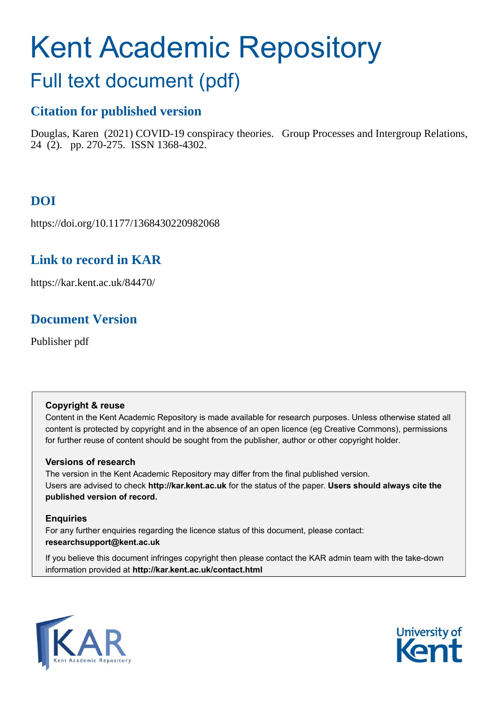# Kent Academic Repository

## Full text document (pdf)

## **Citation for published version**

Douglas, Karen (2021) COVID-19 conspiracy theories. Group Processes and Intergroup Relations, 24 (2). pp. 270-275. ISSN 1368-4302.

## **DOI**

https://doi.org/10.1177/1368430220982068

## **Link to record in KAR**

https://kar.kent.ac.uk/84470/

## **Document Version**

Publisher pdf

#### **Copyright & reuse**

Content in the Kent Academic Repository is made available for research purposes. Unless otherwise stated all content is protected by copyright and in the absence of an open licence (eg Creative Commons), permissions for further reuse of content should be sought from the publisher, author or other copyright holder.

#### **Versions of research**

The version in the Kent Academic Repository may differ from the final published version. Users are advised to check **http://kar.kent.ac.uk** for the status of the paper. **Users should always cite the published version of record.**

#### **Enquiries**

For any further enquiries regarding the licence status of this document, please contact: **researchsupport@kent.ac.uk**

If you believe this document infringes copyright then please contact the KAR admin team with the take-down information provided at **http://kar.kent.ac.uk/contact.html**



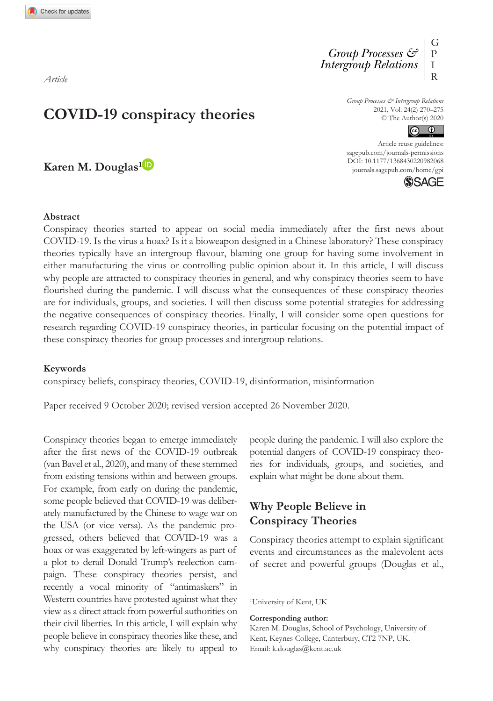*Article*

**Karen M. Douglas1**

*Group Processes & Intergroup Relations* 2021, Vol. 24(2) 270–275 © The Author(s) 2020



DOI: 10.1177/1368430220982068 Article reuse guidelines: [sagepub.com/journals-permissions](https://uk.sagepub.com/en-gb/journals-permissions) [journals.sagepub.com/home/gpi](https://journals.sagepub.com/home/gpi)



#### **Abstract**

Conspiracy theories started to appear on social media immediately after the first news about COVID-19. Is the virus a hoax? Is it a bioweapon designed in a Chinese laboratory? These conspiracy theories typically have an intergroup flavour, blaming one group for having some involvement in either manufacturing the virus or controlling public opinion about it. In this article, I will discuss why people are attracted to conspiracy theories in general, and why conspiracy theories seem to have flourished during the pandemic. I will discuss what the consequences of these conspiracy theories are for individuals, groups, and societies. I will then discuss some potential strategies for addressing the negative consequences of conspiracy theories. Finally, I will consider some open questions for research regarding COVID-19 conspiracy theories, in particular focusing on the potential impact of these conspiracy theories for group processes and intergroup relations.

#### **Keywords**

conspiracy beliefs, conspiracy theories, COVID-19, disinformation, misinformation

Paper received 9 October 2020; revised version accepted 26 November 2020.

Conspiracy theories began to emerge immediately after the first news of the COVID-19 outbreak (van Bavel et al., 2020), and many of these stemmed from existing tensions within and between groups. For example, from early on during the pandemic, some people believed that COVID-19 was deliberately manufactured by the Chinese to wage war on the USA (or vice versa). As the pandemic progressed, others believed that COVID-19 was a hoax or was exaggerated by left-wingers as part of a plot to derail Donald Trump's reelection campaign. These conspiracy theories persist, and recently a vocal minority of "antimaskers" in Western countries have protested against what they view as a direct attack from powerful authorities on their civil liberties. In this article, I will explain why people believe in conspiracy theories like these, and why conspiracy theories are likely to appeal to people during the pandemic. I will also explore the potential dangers of COVID-19 conspiracy theories for individuals, groups, and societies, and explain what might be done about them.

#### **Why People Believe in Conspiracy Theories**

Conspiracy theories attempt to explain significant events and circumstances as the malevolent acts of secret and powerful groups (Douglas et al.,

**Corresponding author:**

<sup>1</sup>University of Kent, UK

Karen M. Douglas, School of Psychology, University of Kent, Keynes College, Canterbury, CT2 7NP, UK. Email: [k.douglas@kent.ac.uk](mailto:k.douglas@kent.ac.uk)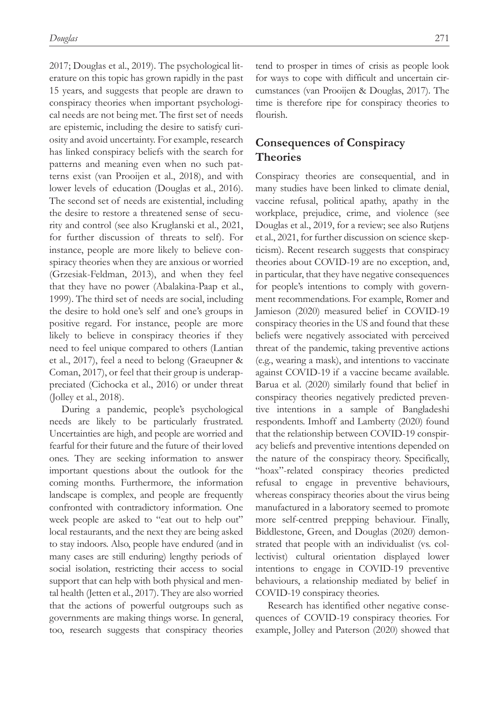2017; Douglas et al., 2019). The psychological literature on this topic has grown rapidly in the past 15 years, and suggests that people are drawn to conspiracy theories when important psychological needs are not being met. The first set of needs are epistemic, including the desire to satisfy curiosity and avoid uncertainty. For example, research has linked conspiracy beliefs with the search for patterns and meaning even when no such patterns exist (van Prooijen et al., 2018), and with lower levels of education (Douglas et al., 2016). The second set of needs are existential, including the desire to restore a threatened sense of security and control (see also Kruglanski et al., 2021, for further discussion of threats to self). For instance, people are more likely to believe conspiracy theories when they are anxious or worried (Grzesiak-Feldman, 2013), and when they feel that they have no power (Abalakina-Paap et al., 1999). The third set of needs are social, including the desire to hold one's self and one's groups in positive regard. For instance, people are more likely to believe in conspiracy theories if they need to feel unique compared to others (Lantian et al., 2017), feel a need to belong (Graeupner & Coman, 2017), or feel that their group is underappreciated (Cichocka et al., 2016) or under threat (Jolley et al., 2018).

During a pandemic, people's psychological needs are likely to be particularly frustrated. Uncertainties are high, and people are worried and fearful for their future and the future of their loved ones. They are seeking information to answer important questions about the outlook for the coming months. Furthermore, the information landscape is complex, and people are frequently confronted with contradictory information. One week people are asked to "eat out to help out" local restaurants, and the next they are being asked to stay indoors. Also, people have endured (and in many cases are still enduring) lengthy periods of social isolation, restricting their access to social support that can help with both physical and mental health (Jetten et al., 2017). They are also worried that the actions of powerful outgroups such as governments are making things worse. In general, too, research suggests that conspiracy theories

tend to prosper in times of crisis as people look for ways to cope with difficult and uncertain circumstances (van Prooijen & Douglas, 2017). The time is therefore ripe for conspiracy theories to flourish.

#### **Consequences of Conspiracy Theories**

Conspiracy theories are consequential, and in many studies have been linked to climate denial, vaccine refusal, political apathy, apathy in the workplace, prejudice, crime, and violence (see Douglas et al., 2019, for a review; see also Rutjens et al., 2021, for further discussion on science skepticism). Recent research suggests that conspiracy theories about COVID-19 are no exception, and, in particular, that they have negative consequences for people's intentions to comply with government recommendations. For example, Romer and Jamieson (2020) measured belief in COVID-19 conspiracy theories in the US and found that these beliefs were negatively associated with perceived threat of the pandemic, taking preventive actions (e.g., wearing a mask), and intentions to vaccinate against COVID-19 if a vaccine became available. Barua et al. (2020) similarly found that belief in conspiracy theories negatively predicted preventive intentions in a sample of Bangladeshi respondents. Imhoff and Lamberty (2020) found that the relationship between COVID-19 conspiracy beliefs and preventive intentions depended on the nature of the conspiracy theory. Specifically, "hoax"-related conspiracy theories predicted refusal to engage in preventive behaviours, whereas conspiracy theories about the virus being manufactured in a laboratory seemed to promote more self-centred prepping behaviour. Finally, Biddlestone, Green, and Douglas (2020) demonstrated that people with an individualist (vs. collectivist) cultural orientation displayed lower intentions to engage in COVID-19 preventive behaviours, a relationship mediated by belief in COVID-19 conspiracy theories.

Research has identified other negative consequences of COVID-19 conspiracy theories. For example, Jolley and Paterson (2020) showed that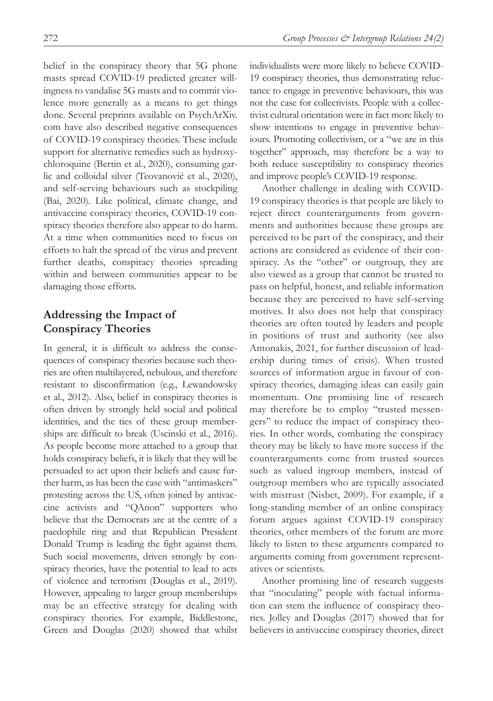belief in the conspiracy theory that 5G phone masts spread COVID-19 predicted greater willingness to vandalise 5G masts and to commit violence more generally as a means to get things done. Several preprints available on PsychArXiv. com have also described negative consequences of COVID-19 conspiracy theories. These include support for alternative remedies such as hydroxychloroquine (Bertin et al., 2020), consuming garlic and colloidal silver (Teovanović et al., 2020), and self-serving behaviours such as stockpiling (Bai, 2020). Like political, climate change, and antivaccine conspiracy theories, COVID-19 conspiracy theories therefore also appear to do harm. At a time when communities need to focus on efforts to halt the spread of the virus and prevent further deaths, conspiracy theories spreading within and between communities appear to be damaging those efforts.

#### **Addressing the Impact of Conspiracy Theories**

In general, it is difficult to address the consequences of conspiracy theories because such theories are often multilayered, nebulous, and therefore resistant to disconfirmation (e.g., Lewandowsky et al., 2012). Also, belief in conspiracy theories is often driven by strongly held social and political identities, and the ties of these group memberships are difficult to break (Uscinski et al., 2016). As people become more attached to a group that holds conspiracy beliefs, it is likely that they will be persuaded to act upon their beliefs and cause further harm, as has been the case with "antimaskers" protesting across the US, often joined by antivaccine activists and "QAnon" supporters who believe that the Democrats are at the centre of a paedophile ring and that Republican President Donald Trump is leading the fight against them. Such social movements, driven strongly by conspiracy theories, have the potential to lead to acts of violence and terrorism (Douglas et al., 2019). However, appealing to larger group memberships may be an effective strategy for dealing with conspiracy theories. For example, Biddlestone, Green and Douglas (2020) showed that whilst individualists were more likely to believe COVID-19 conspiracy theories, thus demonstrating reluctance to engage in preventive behaviours, this was not the case for collectivists. People with a collectivist cultural orientation were in fact more likely to show intentions to engage in preventive behaviours. Promoting collectivism, or a "we are in this together" approach, may therefore be a way to both reduce susceptibility to conspiracy theories and improve people's COVID-19 response.

Another challenge in dealing with COVID-19 conspiracy theories is that people are likely to reject direct counterarguments from governments and authorities because these groups are perceived to be part of the conspiracy, and their actions are considered as evidence of their conspiracy. As the "other" or outgroup, they are also viewed as a group that cannot be trusted to pass on helpful, honest, and reliable information because they are perceived to have self-serving motives. It also does not help that conspiracy theories are often touted by leaders and people in positions of trust and authority (see also Antonakis, 2021, for further discussion of leadership during times of crisis). When trusted sources of information argue in favour of conspiracy theories, damaging ideas can easily gain momentum. One promising line of research may therefore be to employ "trusted messengers" to reduce the impact of conspiracy theories. In other words, combating the conspiracy theory may be likely to have more success if the counterarguments come from trusted sources such as valued ingroup members, instead of outgroup members who are typically associated with mistrust (Nisbet, 2009). For example, if a long-standing member of an online conspiracy forum argues against COVID-19 conspiracy theories, other members of the forum are more likely to listen to these arguments compared to arguments coming from government representatives or scientists.

Another promising line of research suggests that "inoculating" people with factual information can stem the influence of conspiracy theories. Jolley and Douglas (2017) showed that for believers in antivaccine conspiracy theories, direct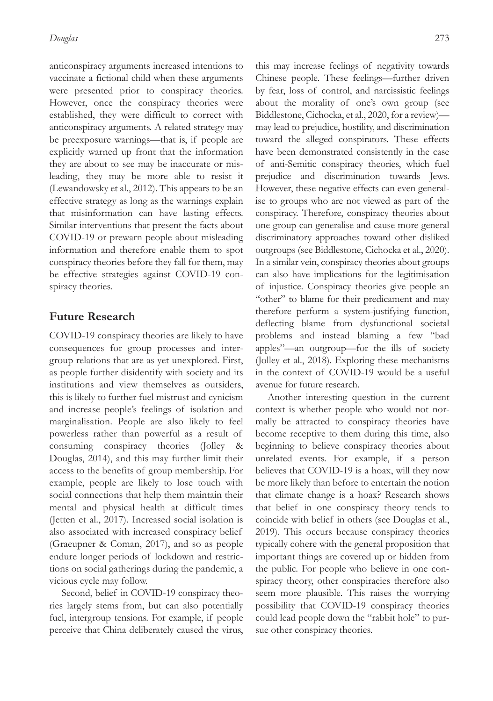anticonspiracy arguments increased intentions to vaccinate a fictional child when these arguments were presented prior to conspiracy theories. However, once the conspiracy theories were established, they were difficult to correct with anticonspiracy arguments. A related strategy may be preexposure warnings—that is, if people are explicitly warned up front that the information they are about to see may be inaccurate or misleading, they may be more able to resist it (Lewandowsky et al., 2012). This appears to be an effective strategy as long as the warnings explain that misinformation can have lasting effects. Similar interventions that present the facts about COVID-19 or prewarn people about misleading information and therefore enable them to spot conspiracy theories before they fall for them, may be effective strategies against COVID-19 conspiracy theories.

#### **Future Research**

COVID-19 conspiracy theories are likely to have consequences for group processes and intergroup relations that are as yet unexplored. First, as people further disidentify with society and its institutions and view themselves as outsiders, this is likely to further fuel mistrust and cynicism and increase people's feelings of isolation and marginalisation. People are also likely to feel powerless rather than powerful as a result of consuming conspiracy theories (Jolley & Douglas, 2014), and this may further limit their access to the benefits of group membership. For example, people are likely to lose touch with social connections that help them maintain their mental and physical health at difficult times (Jetten et al., 2017). Increased social isolation is also associated with increased conspiracy belief (Graeupner & Coman, 2017), and so as people endure longer periods of lockdown and restrictions on social gatherings during the pandemic, a vicious cycle may follow.

Second, belief in COVID-19 conspiracy theories largely stems from, but can also potentially fuel, intergroup tensions. For example, if people perceive that China deliberately caused the virus,

this may increase feelings of negativity towards Chinese people. These feelings—further driven by fear, loss of control, and narcissistic feelings about the morality of one's own group (see Biddlestone, Cichocka, et al., 2020, for a review) may lead to prejudice, hostility, and discrimination toward the alleged conspirators. These effects have been demonstrated consistently in the case of anti-Semitic conspiracy theories, which fuel prejudice and discrimination towards Jews. However, these negative effects can even generalise to groups who are not viewed as part of the conspiracy. Therefore, conspiracy theories about one group can generalise and cause more general discriminatory approaches toward other disliked outgroups (see Biddlestone, Cichocka et al., 2020). In a similar vein, conspiracy theories about groups can also have implications for the legitimisation of injustice. Conspiracy theories give people an "other" to blame for their predicament and may therefore perform a system-justifying function, deflecting blame from dysfunctional societal problems and instead blaming a few "bad apples"—an outgroup—for the ills of society (Jolley et al., 2018). Exploring these mechanisms in the context of COVID-19 would be a useful avenue for future research.

Another interesting question in the current context is whether people who would not normally be attracted to conspiracy theories have become receptive to them during this time, also beginning to believe conspiracy theories about unrelated events. For example, if a person believes that COVID-19 is a hoax, will they now be more likely than before to entertain the notion that climate change is a hoax? Research shows that belief in one conspiracy theory tends to coincide with belief in others (see Douglas et al., 2019). This occurs because conspiracy theories typically cohere with the general proposition that important things are covered up or hidden from the public. For people who believe in one conspiracy theory, other conspiracies therefore also seem more plausible. This raises the worrying possibility that COVID-19 conspiracy theories could lead people down the "rabbit hole" to pursue other conspiracy theories.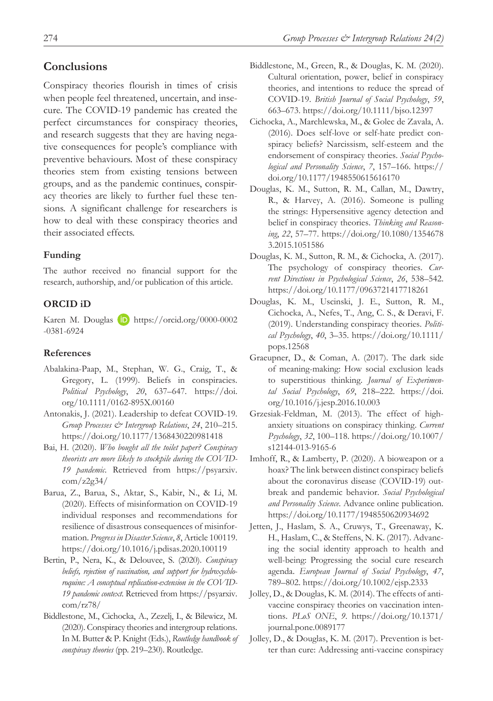#### **Conclusions**

Conspiracy theories flourish in times of crisis when people feel threatened, uncertain, and insecure. The COVID-19 pandemic has created the perfect circumstances for conspiracy theories, and research suggests that they are having negative consequences for people's compliance with preventive behaviours. Most of these conspiracy theories stem from existing tensions between groups, and as the pandemic continues, conspiracy theories are likely to further fuel these tensions. A significant challenge for researchers is how to deal with these conspiracy theories and their associated effects.

#### **Funding**

The author received no financial support for the research, authorship, and/or publication of this article.

#### **ORCID iD**

Karen M. Douglas **D** [https://orcid.org/0000-0002](https://orcid.org/0000-0002-0381-6924) [-0381-6924](https://orcid.org/0000-0002-0381-6924)

#### **References**

- Abalakina-Paap, M., Stephan, W. G., Craig, T., & Gregory, L. (1999). Beliefs in conspiracies. *Political Psychology*, *20*, 637–647. [https://doi.](https://doi.org/10.1111/0162-895X.00160) [org/10.1111/0162-895X.00160](https://doi.org/10.1111/0162-895X.00160)
- Antonakis, J. (2021). Leadership to defeat COVID-19. *Group Processes & Intergroup Relations*, *24*, 210–215. [https://doi.org/](https://doi.org/10.1177/1368430220981418)10.1177/1368430220981418
- Bai, H. (2020). *Who bought all the toilet paper? Conspiracy theorists are more likely to stockpile during the COVID-19 pandemic*. Retrieved from [https://psyarxiv.](https://psyarxiv.com/z2g34/)  $com/z2g34/$
- Barua, Z., Barua, S., Aktar, S., Kabir, N., & Li, M. (2020). Effects of misinformation on COVID-19 individual responses and recommendations for resilience of disastrous consequences of misinformation. *Progress in Disaster Science*, *8*, Article 100119. <https://doi.org/10.1016/j.pdisas.2020.100119>
- Bertin, P., Nera, K., & Delouvee, S. (2020). *Conspiracy beliefs, rejection of vaccination, and support for hydroxychloroquine: A conceptual replication-extension in the COVID-19 pandemic context*. Retrieved from [https://psyarxiv.](https://psyarxiv.com/rz78/) [com/rz78/](https://psyarxiv.com/rz78/)
- Biddlestone, M., Cichocka, A., Zezelj, I., & Bilewicz, M. (2020). Conspiracy theories and intergroup relations. In M. Butter & P. Knight (Eds.), *Routledge handbook of conspiracy theories* (pp. 219–230). Routledge.
- Biddlestone, M., Green, R., & Douglas, K. M. (2020). Cultural orientation, power, belief in conspiracy theories, and intentions to reduce the spread of COVID-19. *British Journal of Social Psychology*, *59*, 663–673.<https://doi.org/10.1111/bjso.12397>
- Cichocka, A., Marchlewska, M., & Golec de Zavala, A. (2016). Does self-love or self-hate predict conspiracy beliefs? Narcissism, self-esteem and the endorsement of conspiracy theories. *Social Psychological and Personality Science*, *7*, 157–166. [https://](https://doi.org/10.1177/1948550615616170) [doi.org/10.1177/1948550615616170](https://doi.org/10.1177/1948550615616170)
- Douglas, K. M., Sutton, R. M., Callan, M., Dawtry, R., & Harvey, A. (2016). Someone is pulling the strings: Hypersensitive agency detection and belief in conspiracy theories. *Thinking and Reasoning*, *22*, 57–77. [https://doi.org/10.1080/1354678](https://doi.org/10.1080/13546783.2015.1051586) [3.2015.1051586](https://doi.org/10.1080/13546783.2015.1051586)
- Douglas, K. M., Sutton, R. M., & Cichocka, A. (2017). The psychology of conspiracy theories. *Current Directions in Psychological Science*, *26*, 538–542. <https://doi.org/10.1177/0963721417718261>
- Douglas, K. M., Uscinski, J. E., Sutton, R. M., Cichocka, A., Nefes, T., Ang, C. S., & Deravi, F. (2019). Understanding conspiracy theories. *Political Psychology*, *40*, 3–35. [https://doi.org/10.1111/](https://doi.org/10.1111/pops.12568) [pops.12568](https://doi.org/10.1111/pops.12568)
- Graeupner, D., & Coman, A. (2017). The dark side of meaning-making: How social exclusion leads to superstitious thinking. *Journal of Experimental Social Psychology*, *69*, 218–222. [https://doi.](https://doi.org/10.1016/j.jesp.2016.10.003) [org/10.1016/j.jesp.2016.10.003](https://doi.org/10.1016/j.jesp.2016.10.003)
- Grzesiak-Feldman, M. (2013). The effect of highanxiety situations on conspiracy thinking. *Current Psychology*, *32*, 100–118. [https://doi.org/10.1007/](https://doi.org/10.1007/s12144-013-9165-6) [s12144-013-9165-6](https://doi.org/10.1007/s12144-013-9165-6)
- Imhoff, R., & Lamberty, P. (2020). A bioweapon or a hoax? The link between distinct conspiracy beliefs about the coronavirus disease (COVID-19) outbreak and pandemic behavior. *Social Psychological and Personality Science*. Advance online publication. <https://doi.org/10.1177/1948550620934692>
- Jetten, J., Haslam, S. A., Cruwys, T., Greenaway, K. H., Haslam, C., & Steffens, N. K. (2017). Advancing the social identity approach to health and well-being: Progressing the social cure research agenda. *European Journal of Social Psychology*, *47*, 789–802.<https://doi.org/10.1002/ejsp.2333>
- Jolley, D., & Douglas, K. M. (2014). The effects of antivaccine conspiracy theories on vaccination intentions. *PLoS ONE*, *9*. [https://doi.org/10.1371/](https://doi.org/10.1371/journal.pone.0089177) [journal.pone.0089177](https://doi.org/10.1371/journal.pone.0089177)
- Jolley, D., & Douglas, K. M. (2017). Prevention is better than cure: Addressing anti-vaccine conspiracy